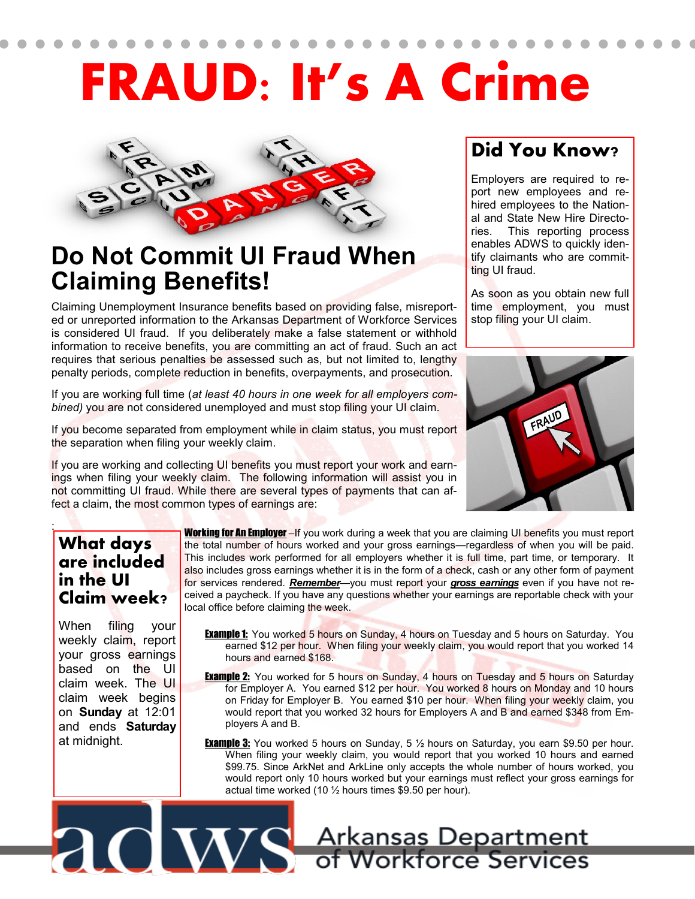# **FRAUD: It's A Crime**



## **Do Not Commit UI Fraud When Claiming Benefits!**

Claiming Unemployment Insurance benefits based on providing false, misreported or unreported information to the Arkansas Department of Workforce Services is considered UI fraud. If you deliberately make a false statement or withhold information to receive benefits, you are committing an act of fraud. Such an act requires that serious penalties be assessed such as, but not limited to, lengthy penalty periods, complete reduction in benefits, overpayments, and prosecution.

If you are working full time (*at least 40 hours in one week for all employers combined)* you are not considered unemployed and must stop filing your UI claim.

If you become separated from employment while in claim status, you must report the separation when filing your weekly claim.

If you are working and collecting UI benefits you must report your work and earnings when filing your weekly claim. The following information will assist you in not committing UI fraud. While there are several types of payments that can affect a claim, the most common types of earnings are:

## **Did You Know?**

Employers are required to report new employees and rehired employees to the National and State New Hire Directories. This reporting process enables ADWS to quickly identify claimants who are committing UI fraud.

As soon as you obtain new full time employment, you must stop filing your UI claim.



#### **What days are included in the UI Claim week?**

:

When filing your weekly claim, report your gross earnings based on the UI claim week. The UI claim week begins on **Sunday** at 12:01 and ends **Saturday** at midnight.

Working for An Employer – If you work during a week that you are claiming UI benefits you must report the total number of hours worked and your gross earnings—regardless of when you will be paid. This includes work performed for all employers whether it is full time, part time, or temporary. It also includes gross earnings whether it is in the form of a check, cash or any other form of payment for services rendered. *Remember*—you must report your *gross earnings* even if you have not received a paycheck. If you have any questions whether your earnings are reportable check with your local office before claiming the week.

- **Example 1:** You worked 5 hours on Sunday, 4 hours on Tuesday and 5 hours on Saturday. You earned \$12 per hour. When filing your weekly claim, you would report that you worked 14 hours and earned \$168.
- **Example 2:** You worked for 5 hours on Sunday, 4 hours on Tuesday and 5 hours on Saturday for Employer A. You earned \$12 per hour. You worked 8 hours on Monday and 10 hours on Friday for Employer B. You earned \$10 per hour. When filing your weekly claim, you would report that you worked 32 hours for Employers A and B and earned \$348 from Employers A and B.
- **Example 3:** You worked 5 hours on Sunday,  $5\frac{1}{2}$  hours on Saturday, you earn \$9.50 per hour. When filing your weekly claim, you would report that you worked 10 hours and earned \$99.75. Since ArkNet and ArkLine only accepts the whole number of hours worked, you would report only 10 hours worked but your earnings must reflect your gross earnings for actual time worked (10 ½ hours times \$9.50 per hour).

**CONTS** Arkansas Department